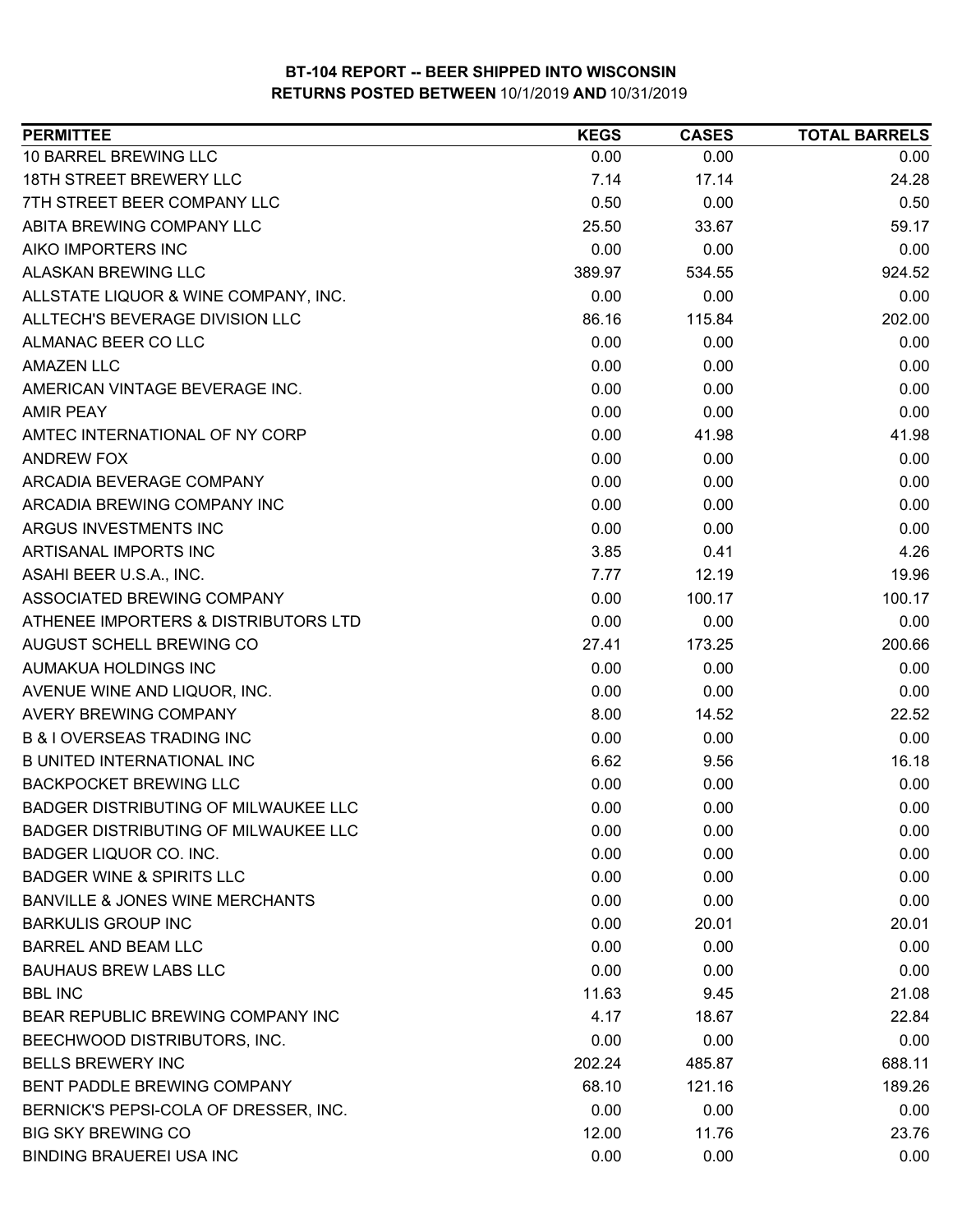| <b>PERMITTEE</b>                            | <b>KEGS</b> | <b>CASES</b> | <b>TOTAL BARRELS</b> |
|---------------------------------------------|-------------|--------------|----------------------|
| 10 BARREL BREWING LLC                       | 0.00        | 0.00         | 0.00                 |
| 18TH STREET BREWERY LLC                     | 7.14        | 17.14        | 24.28                |
| 7TH STREET BEER COMPANY LLC                 | 0.50        | 0.00         | 0.50                 |
| ABITA BREWING COMPANY LLC                   | 25.50       | 33.67        | 59.17                |
| AIKO IMPORTERS INC                          | 0.00        | 0.00         | 0.00                 |
| <b>ALASKAN BREWING LLC</b>                  | 389.97      | 534.55       | 924.52               |
| ALLSTATE LIQUOR & WINE COMPANY, INC.        | 0.00        | 0.00         | 0.00                 |
| ALLTECH'S BEVERAGE DIVISION LLC             | 86.16       | 115.84       | 202.00               |
| ALMANAC BEER CO LLC                         | 0.00        | 0.00         | 0.00                 |
| <b>AMAZEN LLC</b>                           | 0.00        | 0.00         | 0.00                 |
| AMERICAN VINTAGE BEVERAGE INC.              | 0.00        | 0.00         | 0.00                 |
| <b>AMIR PEAY</b>                            | 0.00        | 0.00         | 0.00                 |
| AMTEC INTERNATIONAL OF NY CORP              | 0.00        | 41.98        | 41.98                |
| <b>ANDREW FOX</b>                           | 0.00        | 0.00         | 0.00                 |
| ARCADIA BEVERAGE COMPANY                    | 0.00        | 0.00         | 0.00                 |
| ARCADIA BREWING COMPANY INC                 | 0.00        | 0.00         | 0.00                 |
| ARGUS INVESTMENTS INC                       | 0.00        | 0.00         | 0.00                 |
| ARTISANAL IMPORTS INC                       | 3.85        | 0.41         | 4.26                 |
| ASAHI BEER U.S.A., INC.                     | 7.77        | 12.19        | 19.96                |
| ASSOCIATED BREWING COMPANY                  | 0.00        | 100.17       | 100.17               |
| ATHENEE IMPORTERS & DISTRIBUTORS LTD        | 0.00        | 0.00         | 0.00                 |
| AUGUST SCHELL BREWING CO                    | 27.41       | 173.25       | 200.66               |
| AUMAKUA HOLDINGS INC                        | 0.00        | 0.00         | 0.00                 |
| AVENUE WINE AND LIQUOR, INC.                | 0.00        | 0.00         | 0.00                 |
| AVERY BREWING COMPANY                       | 8.00        | 14.52        | 22.52                |
| <b>B &amp; I OVERSEAS TRADING INC</b>       | 0.00        | 0.00         | 0.00                 |
| <b>B UNITED INTERNATIONAL INC</b>           | 6.62        | 9.56         | 16.18                |
| <b>BACKPOCKET BREWING LLC</b>               | 0.00        | 0.00         | 0.00                 |
| <b>BADGER DISTRIBUTING OF MILWAUKEE LLC</b> | 0.00        | 0.00         | 0.00                 |
| BADGER DISTRIBUTING OF MILWAUKEE LLC        | 0.00        | 0.00         | 0.00                 |
| BADGER LIQUOR CO. INC.                      | 0.00        | 0.00         | 0.00                 |
| <b>BADGER WINE &amp; SPIRITS LLC</b>        | 0.00        | 0.00         | 0.00                 |
| BANVILLE & JONES WINE MERCHANTS             | 0.00        | 0.00         | 0.00                 |
| <b>BARKULIS GROUP INC</b>                   | 0.00        | 20.01        | 20.01                |
| <b>BARREL AND BEAM LLC</b>                  | 0.00        | 0.00         | 0.00                 |
| <b>BAUHAUS BREW LABS LLC</b>                | 0.00        | 0.00         | 0.00                 |
| <b>BBL INC</b>                              | 11.63       | 9.45         | 21.08                |
| BEAR REPUBLIC BREWING COMPANY INC           | 4.17        | 18.67        | 22.84                |
| BEECHWOOD DISTRIBUTORS, INC.                | 0.00        | 0.00         | 0.00                 |
| <b>BELLS BREWERY INC</b>                    | 202.24      | 485.87       | 688.11               |
| BENT PADDLE BREWING COMPANY                 | 68.10       | 121.16       | 189.26               |
| BERNICK'S PEPSI-COLA OF DRESSER, INC.       | 0.00        | 0.00         | 0.00                 |
| <b>BIG SKY BREWING CO</b>                   | 12.00       | 11.76        | 23.76                |
| <b>BINDING BRAUEREI USA INC</b>             | 0.00        | 0.00         | 0.00                 |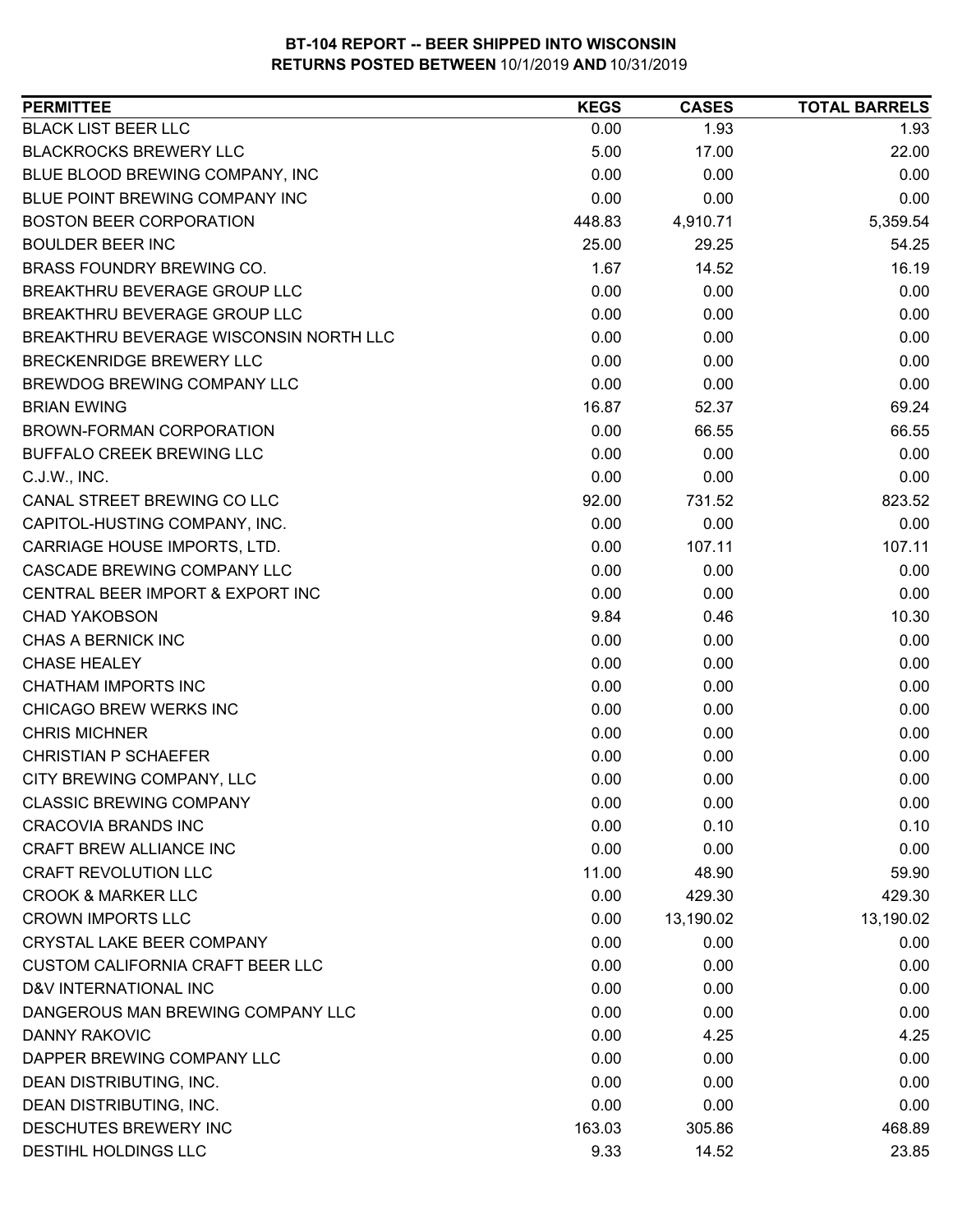| <b>PERMITTEE</b>                        | <b>KEGS</b> | <b>CASES</b> | <b>TOTAL BARRELS</b> |
|-----------------------------------------|-------------|--------------|----------------------|
| <b>BLACK LIST BEER LLC</b>              | 0.00        | 1.93         | 1.93                 |
| <b>BLACKROCKS BREWERY LLC</b>           | 5.00        | 17.00        | 22.00                |
| BLUE BLOOD BREWING COMPANY, INC         | 0.00        | 0.00         | 0.00                 |
| BLUE POINT BREWING COMPANY INC          | 0.00        | 0.00         | 0.00                 |
| <b>BOSTON BEER CORPORATION</b>          | 448.83      | 4,910.71     | 5,359.54             |
| <b>BOULDER BEER INC</b>                 | 25.00       | 29.25        | 54.25                |
| <b>BRASS FOUNDRY BREWING CO.</b>        | 1.67        | 14.52        | 16.19                |
| BREAKTHRU BEVERAGE GROUP LLC            | 0.00        | 0.00         | 0.00                 |
| BREAKTHRU BEVERAGE GROUP LLC            | 0.00        | 0.00         | 0.00                 |
| BREAKTHRU BEVERAGE WISCONSIN NORTH LLC  | 0.00        | 0.00         | 0.00                 |
| <b>BRECKENRIDGE BREWERY LLC</b>         | 0.00        | 0.00         | 0.00                 |
| BREWDOG BREWING COMPANY LLC             | 0.00        | 0.00         | 0.00                 |
| <b>BRIAN EWING</b>                      | 16.87       | 52.37        | 69.24                |
| <b>BROWN-FORMAN CORPORATION</b>         | 0.00        | 66.55        | 66.55                |
| <b>BUFFALO CREEK BREWING LLC</b>        | 0.00        | 0.00         | 0.00                 |
| C.J.W., INC.                            | 0.00        | 0.00         | 0.00                 |
| CANAL STREET BREWING CO LLC             | 92.00       | 731.52       | 823.52               |
| CAPITOL-HUSTING COMPANY, INC.           | 0.00        | 0.00         | 0.00                 |
| CARRIAGE HOUSE IMPORTS, LTD.            | 0.00        | 107.11       | 107.11               |
| CASCADE BREWING COMPANY LLC             | 0.00        | 0.00         | 0.00                 |
| CENTRAL BEER IMPORT & EXPORT INC        | 0.00        | 0.00         | 0.00                 |
| <b>CHAD YAKOBSON</b>                    | 9.84        | 0.46         | 10.30                |
| CHAS A BERNICK INC                      | 0.00        | 0.00         | 0.00                 |
| <b>CHASE HEALEY</b>                     | 0.00        | 0.00         | 0.00                 |
| <b>CHATHAM IMPORTS INC</b>              | 0.00        | 0.00         | 0.00                 |
| CHICAGO BREW WERKS INC                  | 0.00        | 0.00         | 0.00                 |
| <b>CHRIS MICHNER</b>                    | 0.00        | 0.00         | 0.00                 |
| <b>CHRISTIAN P SCHAEFER</b>             | 0.00        | 0.00         | 0.00                 |
| CITY BREWING COMPANY, LLC               | 0.00        | 0.00         | 0.00                 |
| <b>CLASSIC BREWING COMPANY</b>          | 0.00        | 0.00         | 0.00                 |
| <b>CRACOVIA BRANDS INC</b>              | 0.00        | 0.10         | 0.10                 |
| CRAFT BREW ALLIANCE INC                 | 0.00        | 0.00         | 0.00                 |
| <b>CRAFT REVOLUTION LLC</b>             | 11.00       | 48.90        | 59.90                |
| <b>CROOK &amp; MARKER LLC</b>           | 0.00        | 429.30       | 429.30               |
| <b>CROWN IMPORTS LLC</b>                | 0.00        | 13,190.02    | 13,190.02            |
| <b>CRYSTAL LAKE BEER COMPANY</b>        | 0.00        | 0.00         | 0.00                 |
| <b>CUSTOM CALIFORNIA CRAFT BEER LLC</b> | 0.00        | 0.00         | 0.00                 |
| D&V INTERNATIONAL INC                   | 0.00        | 0.00         | 0.00                 |
| DANGEROUS MAN BREWING COMPANY LLC       | 0.00        | 0.00         | 0.00                 |
| <b>DANNY RAKOVIC</b>                    | 0.00        | 4.25         | 4.25                 |
| DAPPER BREWING COMPANY LLC              | 0.00        | 0.00         | 0.00                 |
| DEAN DISTRIBUTING, INC.                 | 0.00        | 0.00         | 0.00                 |
| DEAN DISTRIBUTING, INC.                 | 0.00        | 0.00         | 0.00                 |
| DESCHUTES BREWERY INC                   | 163.03      | 305.86       | 468.89               |
| DESTIHL HOLDINGS LLC                    | 9.33        | 14.52        | 23.85                |
|                                         |             |              |                      |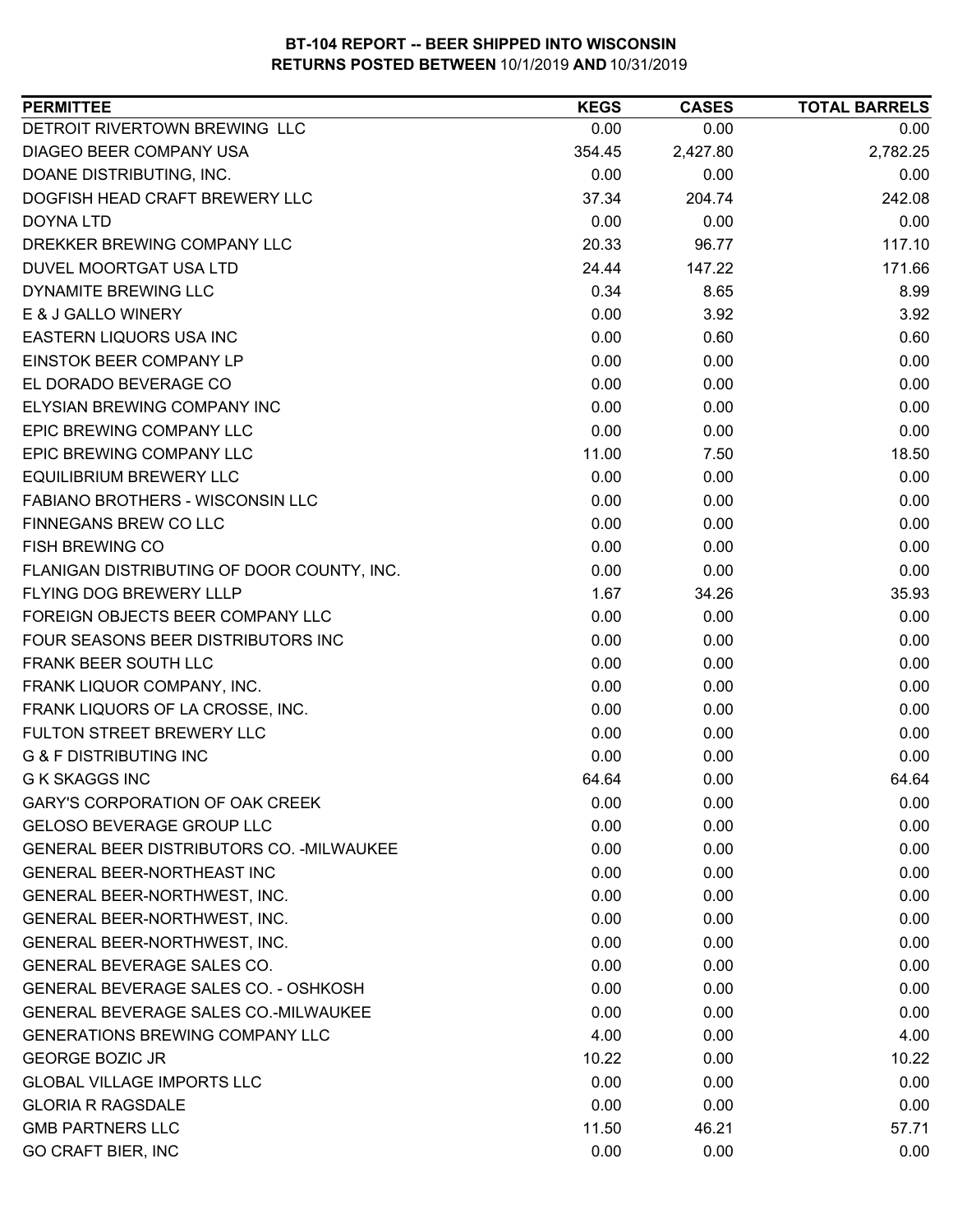| <b>PERMITTEE</b>                            | <b>KEGS</b> | <b>CASES</b> | <b>TOTAL BARRELS</b> |
|---------------------------------------------|-------------|--------------|----------------------|
| DETROIT RIVERTOWN BREWING LLC               | 0.00        | 0.00         | 0.00                 |
| DIAGEO BEER COMPANY USA                     | 354.45      | 2,427.80     | 2,782.25             |
| DOANE DISTRIBUTING, INC.                    | 0.00        | 0.00         | 0.00                 |
| DOGFISH HEAD CRAFT BREWERY LLC              | 37.34       | 204.74       | 242.08               |
| <b>DOYNA LTD</b>                            | 0.00        | 0.00         | 0.00                 |
| DREKKER BREWING COMPANY LLC                 | 20.33       | 96.77        | 117.10               |
| DUVEL MOORTGAT USA LTD                      | 24.44       | 147.22       | 171.66               |
| <b>DYNAMITE BREWING LLC</b>                 | 0.34        | 8.65         | 8.99                 |
| E & J GALLO WINERY                          | 0.00        | 3.92         | 3.92                 |
| EASTERN LIQUORS USA INC                     | 0.00        | 0.60         | 0.60                 |
| EINSTOK BEER COMPANY LP                     | 0.00        | 0.00         | 0.00                 |
| EL DORADO BEVERAGE CO                       | 0.00        | 0.00         | 0.00                 |
| ELYSIAN BREWING COMPANY INC                 | 0.00        | 0.00         | 0.00                 |
| EPIC BREWING COMPANY LLC                    | 0.00        | 0.00         | 0.00                 |
| EPIC BREWING COMPANY LLC                    | 11.00       | 7.50         | 18.50                |
| <b>EQUILIBRIUM BREWERY LLC</b>              | 0.00        | 0.00         | 0.00                 |
| FABIANO BROTHERS - WISCONSIN LLC            | 0.00        | 0.00         | 0.00                 |
| FINNEGANS BREW CO LLC                       | 0.00        | 0.00         | 0.00                 |
| <b>FISH BREWING CO</b>                      | 0.00        | 0.00         | 0.00                 |
| FLANIGAN DISTRIBUTING OF DOOR COUNTY, INC.  | 0.00        | 0.00         | 0.00                 |
| FLYING DOG BREWERY LLLP                     | 1.67        | 34.26        | 35.93                |
| FOREIGN OBJECTS BEER COMPANY LLC            | 0.00        | 0.00         | 0.00                 |
| FOUR SEASONS BEER DISTRIBUTORS INC          | 0.00        | 0.00         | 0.00                 |
| FRANK BEER SOUTH LLC                        | 0.00        | 0.00         | 0.00                 |
| FRANK LIQUOR COMPANY, INC.                  | 0.00        | 0.00         | 0.00                 |
| FRANK LIQUORS OF LA CROSSE, INC.            | 0.00        | 0.00         | 0.00                 |
| <b>FULTON STREET BREWERY LLC</b>            | 0.00        | 0.00         | 0.00                 |
| <b>G &amp; F DISTRIBUTING INC</b>           | 0.00        | 0.00         | 0.00                 |
| <b>G K SKAGGS INC</b>                       | 64.64       | 0.00         | 64.64                |
| <b>GARY'S CORPORATION OF OAK CREEK</b>      | 0.00        | 0.00         | 0.00                 |
| <b>GELOSO BEVERAGE GROUP LLC</b>            | 0.00        | 0.00         | 0.00                 |
| GENERAL BEER DISTRIBUTORS CO. - MILWAUKEE   | 0.00        | 0.00         | 0.00                 |
| <b>GENERAL BEER-NORTHEAST INC</b>           | 0.00        | 0.00         | 0.00                 |
| GENERAL BEER-NORTHWEST, INC.                | 0.00        | 0.00         | 0.00                 |
| GENERAL BEER-NORTHWEST, INC.                | 0.00        | 0.00         | 0.00                 |
| GENERAL BEER-NORTHWEST, INC.                | 0.00        | 0.00         | 0.00                 |
| GENERAL BEVERAGE SALES CO.                  | 0.00        | 0.00         | 0.00                 |
| <b>GENERAL BEVERAGE SALES CO. - OSHKOSH</b> | 0.00        | 0.00         | 0.00                 |
| GENERAL BEVERAGE SALES CO.-MILWAUKEE        | 0.00        | 0.00         | 0.00                 |
| <b>GENERATIONS BREWING COMPANY LLC</b>      | 4.00        | 0.00         | 4.00                 |
| <b>GEORGE BOZIC JR</b>                      | 10.22       | 0.00         | 10.22                |
| <b>GLOBAL VILLAGE IMPORTS LLC</b>           | 0.00        | 0.00         | 0.00                 |
| <b>GLORIA R RAGSDALE</b>                    | 0.00        | 0.00         | 0.00                 |
| <b>GMB PARTNERS LLC</b>                     | 11.50       | 46.21        | 57.71                |
| <b>GO CRAFT BIER, INC</b>                   | 0.00        | 0.00         | 0.00                 |
|                                             |             |              |                      |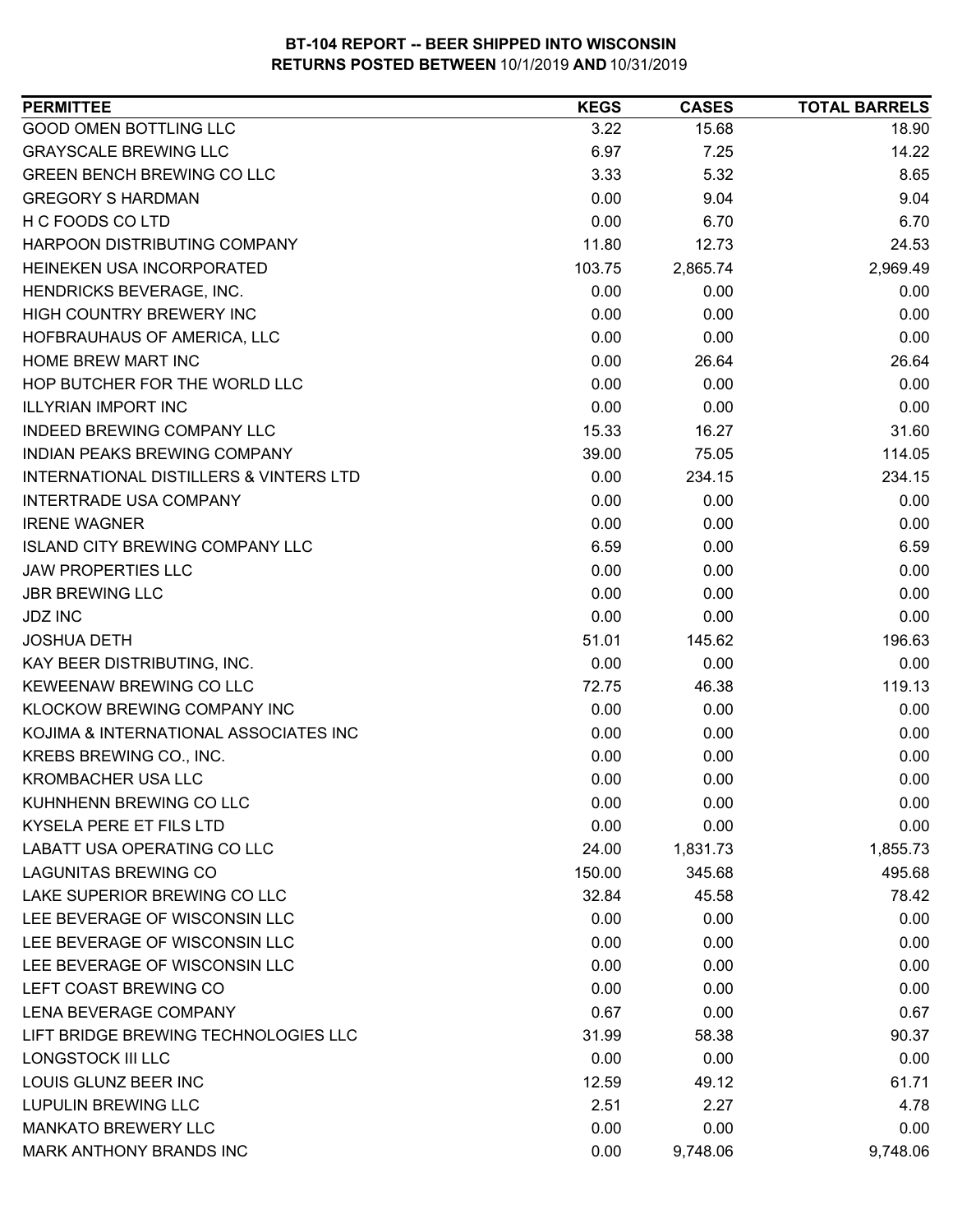| <b>PERMITTEE</b>                       | <b>KEGS</b> | <b>CASES</b> | <b>TOTAL BARRELS</b> |
|----------------------------------------|-------------|--------------|----------------------|
| <b>GOOD OMEN BOTTLING LLC</b>          | 3.22        | 15.68        | 18.90                |
| <b>GRAYSCALE BREWING LLC</b>           | 6.97        | 7.25         | 14.22                |
| <b>GREEN BENCH BREWING CO LLC</b>      | 3.33        | 5.32         | 8.65                 |
| <b>GREGORY S HARDMAN</b>               | 0.00        | 9.04         | 9.04                 |
| H C FOODS CO LTD                       | 0.00        | 6.70         | 6.70                 |
| HARPOON DISTRIBUTING COMPANY           | 11.80       | 12.73        | 24.53                |
| HEINEKEN USA INCORPORATED              | 103.75      | 2,865.74     | 2,969.49             |
| HENDRICKS BEVERAGE, INC.               | 0.00        | 0.00         | 0.00                 |
| HIGH COUNTRY BREWERY INC               | 0.00        | 0.00         | 0.00                 |
| HOFBRAUHAUS OF AMERICA, LLC            | 0.00        | 0.00         | 0.00                 |
| <b>HOME BREW MART INC</b>              | 0.00        | 26.64        | 26.64                |
| HOP BUTCHER FOR THE WORLD LLC          | 0.00        | 0.00         | 0.00                 |
| <b>ILLYRIAN IMPORT INC</b>             | 0.00        | 0.00         | 0.00                 |
| <b>INDEED BREWING COMPANY LLC</b>      | 15.33       | 16.27        | 31.60                |
| INDIAN PEAKS BREWING COMPANY           | 39.00       | 75.05        | 114.05               |
| INTERNATIONAL DISTILLERS & VINTERS LTD | 0.00        | 234.15       | 234.15               |
| <b>INTERTRADE USA COMPANY</b>          | 0.00        | 0.00         | 0.00                 |
| <b>IRENE WAGNER</b>                    | 0.00        | 0.00         | 0.00                 |
| <b>ISLAND CITY BREWING COMPANY LLC</b> | 6.59        | 0.00         | 6.59                 |
| <b>JAW PROPERTIES LLC</b>              | 0.00        | 0.00         | 0.00                 |
| <b>JBR BREWING LLC</b>                 | 0.00        | 0.00         | 0.00                 |
| <b>JDZ INC</b>                         | 0.00        | 0.00         | 0.00                 |
| <b>JOSHUA DETH</b>                     | 51.01       | 145.62       | 196.63               |
| KAY BEER DISTRIBUTING, INC.            | 0.00        | 0.00         | 0.00                 |
| KEWEENAW BREWING CO LLC                | 72.75       | 46.38        | 119.13               |
| KLOCKOW BREWING COMPANY INC            | 0.00        | 0.00         | 0.00                 |
| KOJIMA & INTERNATIONAL ASSOCIATES INC  | 0.00        | 0.00         | 0.00                 |
| KREBS BREWING CO., INC.                | 0.00        | 0.00         | 0.00                 |
| <b>KROMBACHER USA LLC</b>              | 0.00        | 0.00         | 0.00                 |
| KUHNHENN BREWING CO LLC                | 0.00        | 0.00         | 0.00                 |
| KYSELA PERE ET FILS LTD                | 0.00        | 0.00         | 0.00                 |
| LABATT USA OPERATING CO LLC            | 24.00       | 1,831.73     | 1,855.73             |
| <b>LAGUNITAS BREWING CO</b>            | 150.00      | 345.68       | 495.68               |
| LAKE SUPERIOR BREWING CO LLC           | 32.84       | 45.58        | 78.42                |
| LEE BEVERAGE OF WISCONSIN LLC          | 0.00        | 0.00         | 0.00                 |
| LEE BEVERAGE OF WISCONSIN LLC          | 0.00        | 0.00         | 0.00                 |
| LEE BEVERAGE OF WISCONSIN LLC          | 0.00        | 0.00         | 0.00                 |
| LEFT COAST BREWING CO                  | 0.00        | 0.00         | 0.00                 |
| LENA BEVERAGE COMPANY                  | 0.67        | 0.00         | 0.67                 |
| LIFT BRIDGE BREWING TECHNOLOGIES LLC   | 31.99       | 58.38        | 90.37                |
| <b>LONGSTOCK III LLC</b>               | 0.00        | 0.00         | 0.00                 |
| LOUIS GLUNZ BEER INC                   | 12.59       | 49.12        | 61.71                |
| <b>LUPULIN BREWING LLC</b>             | 2.51        | 2.27         | 4.78                 |
| <b>MANKATO BREWERY LLC</b>             | 0.00        | 0.00         | 0.00                 |
| MARK ANTHONY BRANDS INC                | 0.00        | 9,748.06     | 9,748.06             |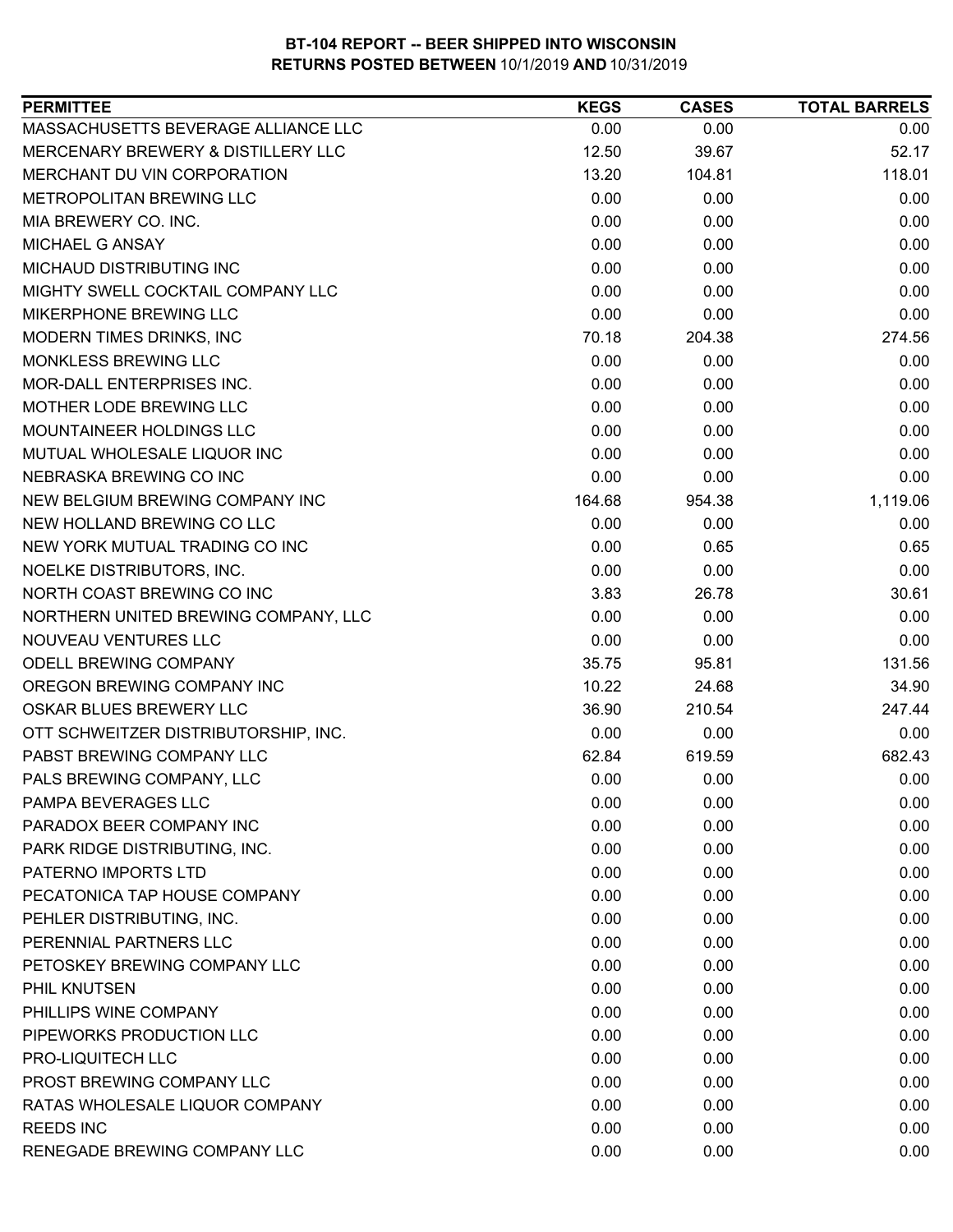| <b>PERMITTEE</b>                     | <b>KEGS</b> | <b>CASES</b> | <b>TOTAL BARRELS</b> |
|--------------------------------------|-------------|--------------|----------------------|
| MASSACHUSETTS BEVERAGE ALLIANCE LLC  | 0.00        | 0.00         | 0.00                 |
| MERCENARY BREWERY & DISTILLERY LLC   | 12.50       | 39.67        | 52.17                |
| MERCHANT DU VIN CORPORATION          | 13.20       | 104.81       | 118.01               |
| METROPOLITAN BREWING LLC             | 0.00        | 0.00         | 0.00                 |
| MIA BREWERY CO. INC.                 | 0.00        | 0.00         | 0.00                 |
| MICHAEL G ANSAY                      | 0.00        | 0.00         | 0.00                 |
| <b>MICHAUD DISTRIBUTING INC</b>      | 0.00        | 0.00         | 0.00                 |
| MIGHTY SWELL COCKTAIL COMPANY LLC    | 0.00        | 0.00         | 0.00                 |
| MIKERPHONE BREWING LLC               | 0.00        | 0.00         | 0.00                 |
| MODERN TIMES DRINKS, INC             | 70.18       | 204.38       | 274.56               |
| MONKLESS BREWING LLC                 | 0.00        | 0.00         | 0.00                 |
| MOR-DALL ENTERPRISES INC.            | 0.00        | 0.00         | 0.00                 |
| MOTHER LODE BREWING LLC              | 0.00        | 0.00         | 0.00                 |
| MOUNTAINEER HOLDINGS LLC             | 0.00        | 0.00         | 0.00                 |
| MUTUAL WHOLESALE LIQUOR INC          | 0.00        | 0.00         | 0.00                 |
| NEBRASKA BREWING CO INC              | 0.00        | 0.00         | 0.00                 |
| NEW BELGIUM BREWING COMPANY INC      | 164.68      | 954.38       | 1,119.06             |
| NEW HOLLAND BREWING CO LLC           | 0.00        | 0.00         | 0.00                 |
| NEW YORK MUTUAL TRADING CO INC       | 0.00        | 0.65         | 0.65                 |
| NOELKE DISTRIBUTORS, INC.            | 0.00        | 0.00         | 0.00                 |
| NORTH COAST BREWING CO INC           | 3.83        | 26.78        | 30.61                |
| NORTHERN UNITED BREWING COMPANY, LLC | 0.00        | 0.00         | 0.00                 |
| NOUVEAU VENTURES LLC                 | 0.00        | 0.00         | 0.00                 |
| ODELL BREWING COMPANY                | 35.75       | 95.81        | 131.56               |
| OREGON BREWING COMPANY INC           | 10.22       | 24.68        | 34.90                |
| OSKAR BLUES BREWERY LLC              | 36.90       | 210.54       | 247.44               |
| OTT SCHWEITZER DISTRIBUTORSHIP, INC. | 0.00        | 0.00         | 0.00                 |
| PABST BREWING COMPANY LLC            | 62.84       | 619.59       | 682.43               |
| PALS BREWING COMPANY, LLC            | 0.00        | 0.00         | 0.00                 |
| PAMPA BEVERAGES LLC                  | 0.00        | 0.00         | 0.00                 |
| PARADOX BEER COMPANY INC             | 0.00        | 0.00         | 0.00                 |
| PARK RIDGE DISTRIBUTING, INC.        | 0.00        | 0.00         | 0.00                 |
| PATERNO IMPORTS LTD                  | 0.00        | 0.00         | 0.00                 |
| PECATONICA TAP HOUSE COMPANY         | 0.00        | 0.00         | 0.00                 |
| PEHLER DISTRIBUTING, INC.            | 0.00        | 0.00         | 0.00                 |
| PERENNIAL PARTNERS LLC               | 0.00        | 0.00         | 0.00                 |
| PETOSKEY BREWING COMPANY LLC         | 0.00        | 0.00         | 0.00                 |
| PHIL KNUTSEN                         | 0.00        | 0.00         | 0.00                 |
| PHILLIPS WINE COMPANY                | 0.00        | 0.00         | 0.00                 |
| PIPEWORKS PRODUCTION LLC             | 0.00        | 0.00         | 0.00                 |
| PRO-LIQUITECH LLC                    | 0.00        | 0.00         | 0.00                 |
| PROST BREWING COMPANY LLC            | 0.00        | 0.00         | 0.00                 |
| RATAS WHOLESALE LIQUOR COMPANY       | 0.00        | 0.00         | 0.00                 |
| <b>REEDS INC</b>                     | 0.00        | 0.00         | 0.00                 |
| RENEGADE BREWING COMPANY LLC         | 0.00        | 0.00         | 0.00                 |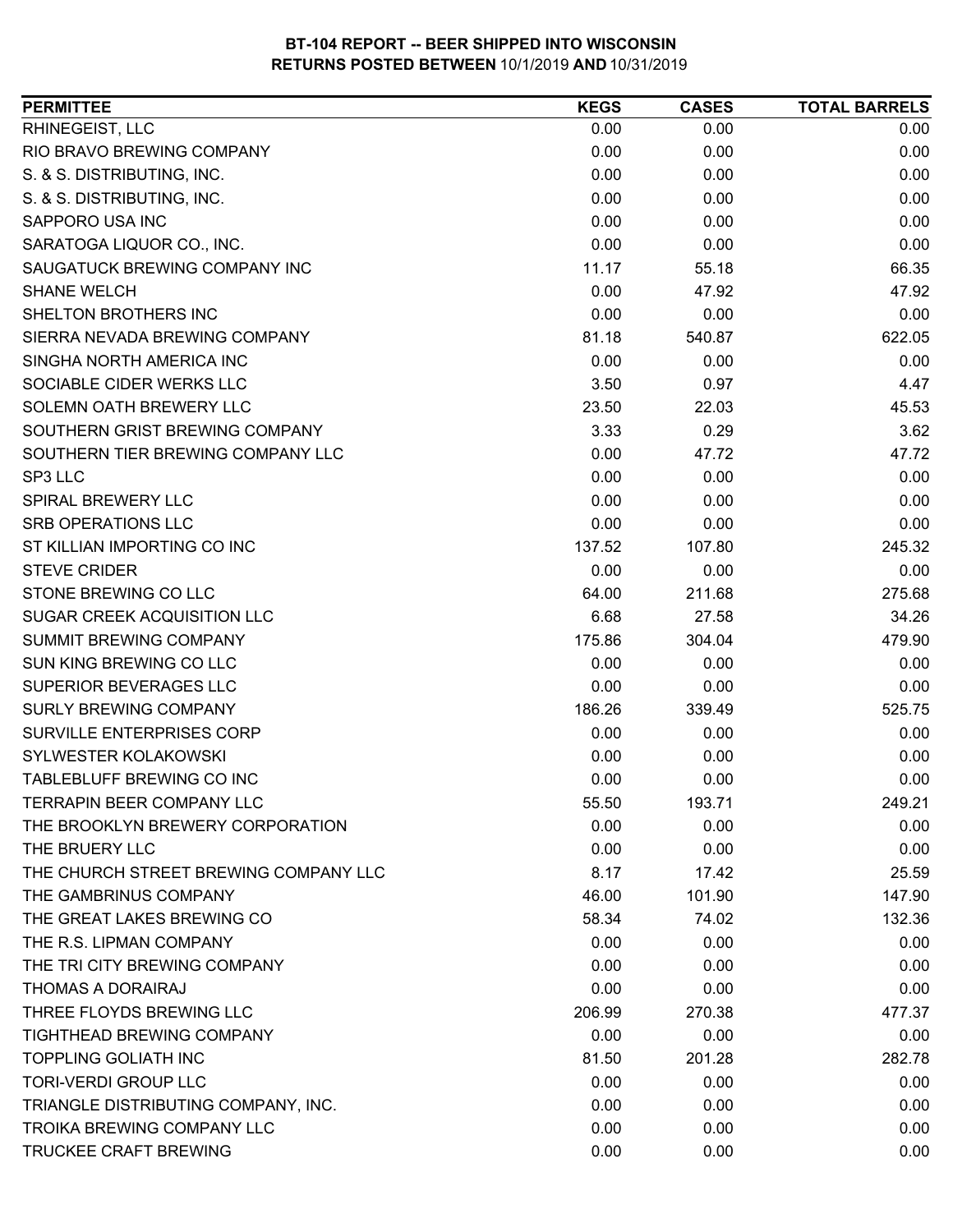| <b>PERMITTEE</b>                      | <b>KEGS</b> | <b>CASES</b> | <b>TOTAL BARRELS</b> |
|---------------------------------------|-------------|--------------|----------------------|
| RHINEGEIST, LLC                       | 0.00        | 0.00         | 0.00                 |
| RIO BRAVO BREWING COMPANY             | 0.00        | 0.00         | 0.00                 |
| S. & S. DISTRIBUTING, INC.            | 0.00        | 0.00         | 0.00                 |
| S. & S. DISTRIBUTING, INC.            | 0.00        | 0.00         | 0.00                 |
| SAPPORO USA INC                       | 0.00        | 0.00         | 0.00                 |
| SARATOGA LIQUOR CO., INC.             | 0.00        | 0.00         | 0.00                 |
| SAUGATUCK BREWING COMPANY INC         | 11.17       | 55.18        | 66.35                |
| <b>SHANE WELCH</b>                    | 0.00        | 47.92        | 47.92                |
| SHELTON BROTHERS INC                  | 0.00        | 0.00         | 0.00                 |
| SIERRA NEVADA BREWING COMPANY         | 81.18       | 540.87       | 622.05               |
| SINGHA NORTH AMERICA INC              | 0.00        | 0.00         | 0.00                 |
| SOCIABLE CIDER WERKS LLC              | 3.50        | 0.97         | 4.47                 |
| <b>SOLEMN OATH BREWERY LLC</b>        | 23.50       | 22.03        | 45.53                |
| SOUTHERN GRIST BREWING COMPANY        | 3.33        | 0.29         | 3.62                 |
| SOUTHERN TIER BREWING COMPANY LLC     | 0.00        | 47.72        | 47.72                |
| SP3 LLC                               | 0.00        | 0.00         | 0.00                 |
| <b>SPIRAL BREWERY LLC</b>             | 0.00        | 0.00         | 0.00                 |
| <b>SRB OPERATIONS LLC</b>             | 0.00        | 0.00         | 0.00                 |
| ST KILLIAN IMPORTING CO INC           | 137.52      | 107.80       | 245.32               |
| <b>STEVE CRIDER</b>                   | 0.00        | 0.00         | 0.00                 |
| STONE BREWING CO LLC                  | 64.00       | 211.68       | 275.68               |
| SUGAR CREEK ACQUISITION LLC           | 6.68        | 27.58        | 34.26                |
| SUMMIT BREWING COMPANY                | 175.86      | 304.04       | 479.90               |
| SUN KING BREWING CO LLC               | 0.00        | 0.00         | 0.00                 |
| SUPERIOR BEVERAGES LLC                | 0.00        | 0.00         | 0.00                 |
| <b>SURLY BREWING COMPANY</b>          | 186.26      | 339.49       | 525.75               |
| SURVILLE ENTERPRISES CORP             | 0.00        | 0.00         | 0.00                 |
| SYLWESTER KOLAKOWSKI                  | 0.00        | 0.00         | 0.00                 |
| TABLEBLUFF BREWING CO INC             | 0.00        | 0.00         | 0.00                 |
| <b>TERRAPIN BEER COMPANY LLC</b>      | 55.50       | 193.71       | 249.21               |
| THE BROOKLYN BREWERY CORPORATION      | 0.00        | 0.00         | 0.00                 |
| THE BRUERY LLC                        | 0.00        | 0.00         | 0.00                 |
| THE CHURCH STREET BREWING COMPANY LLC | 8.17        | 17.42        | 25.59                |
| THE GAMBRINUS COMPANY                 | 46.00       | 101.90       | 147.90               |
| THE GREAT LAKES BREWING CO            | 58.34       | 74.02        | 132.36               |
| THE R.S. LIPMAN COMPANY               | 0.00        | 0.00         | 0.00                 |
| THE TRI CITY BREWING COMPANY          | 0.00        | 0.00         | 0.00                 |
| THOMAS A DORAIRAJ                     | 0.00        | 0.00         | 0.00                 |
| THREE FLOYDS BREWING LLC              | 206.99      | 270.38       | 477.37               |
| TIGHTHEAD BREWING COMPANY             | 0.00        | 0.00         | 0.00                 |
| <b>TOPPLING GOLIATH INC</b>           | 81.50       | 201.28       | 282.78               |
| <b>TORI-VERDI GROUP LLC</b>           | 0.00        | 0.00         | 0.00                 |
| TRIANGLE DISTRIBUTING COMPANY, INC.   | 0.00        | 0.00         | 0.00                 |
| TROIKA BREWING COMPANY LLC            | 0.00        | 0.00         | 0.00                 |
| TRUCKEE CRAFT BREWING                 | 0.00        | 0.00         | 0.00                 |